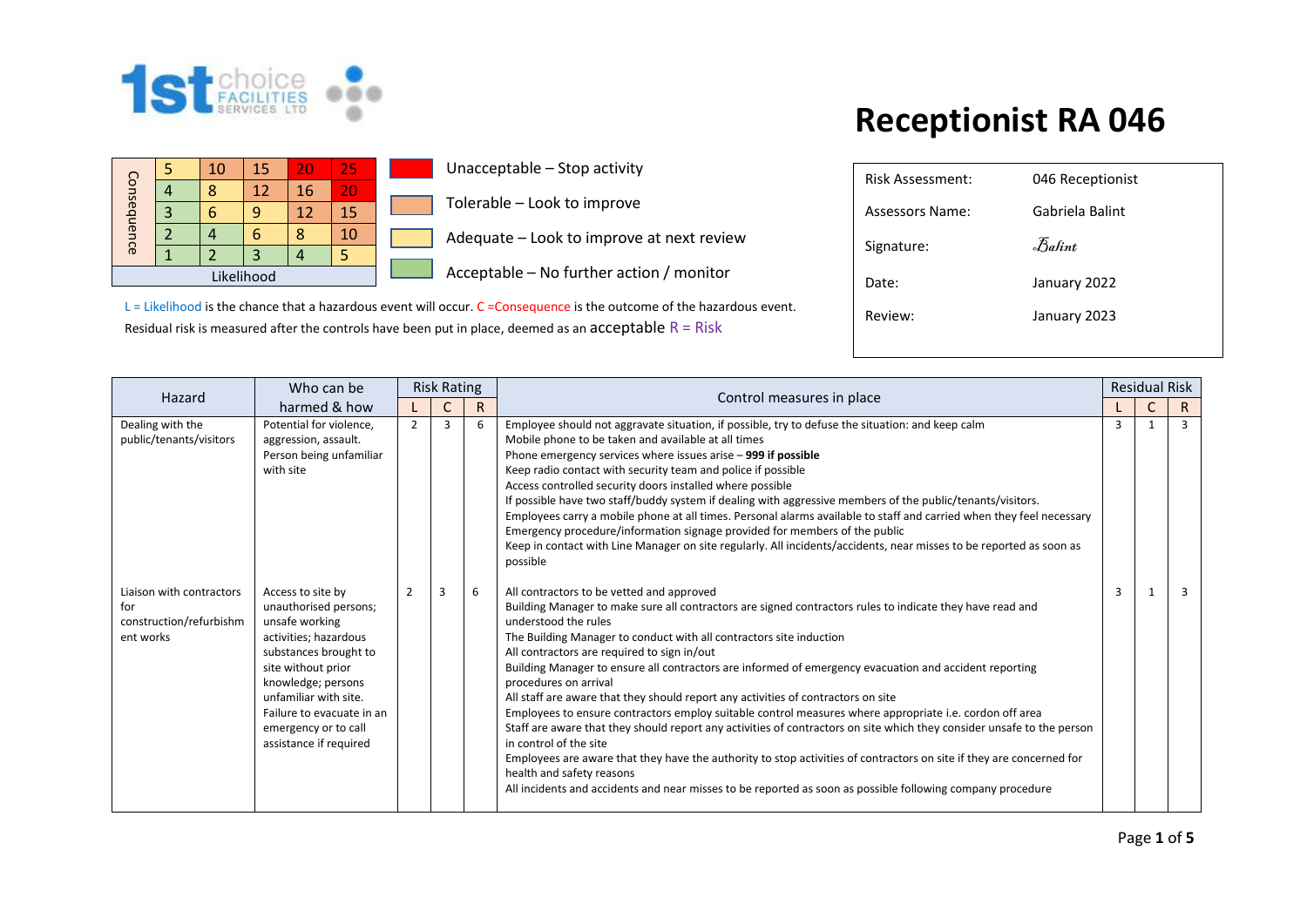

| Consequence |  | 10 | 15  | 20 | 25 | Una |
|-------------|--|----|-----|----|----|-----|
|             |  | 8  | 12  | 16 | 20 |     |
|             |  | о  |     | 12 | 15 | Tol |
|             |  |    | n   | 8  | 10 | Ade |
|             |  |    |     |    |    |     |
|             |  |    | Асс |    |    |     |

acceptable – Stop activity

Ierable – Look to improve

lequate – Look to improve at next review

 $c$ eptable – No further action / monitor

| <b>Risk Assessment:</b> | 046 Receptionist |
|-------------------------|------------------|
| Assessors Name:         | Gabriela Balint  |
| Signature:              | Balint           |
| Date:                   | January 2022     |
| Review:                 | January 2023     |
|                         |                  |

| Hazard                                                                  | Who can be                                                                                                                                                                                                                                                         | <b>Risk Rating</b><br>Control measures in place |    |   | <b>Residual Risk</b>                                                                                                                                                                                                                                                                                                                                                                                                                                                                                                                                                                                                                                                                                                                                                                                                                                                                                                                                                                                                                                           |   |   |                |
|-------------------------------------------------------------------------|--------------------------------------------------------------------------------------------------------------------------------------------------------------------------------------------------------------------------------------------------------------------|-------------------------------------------------|----|---|----------------------------------------------------------------------------------------------------------------------------------------------------------------------------------------------------------------------------------------------------------------------------------------------------------------------------------------------------------------------------------------------------------------------------------------------------------------------------------------------------------------------------------------------------------------------------------------------------------------------------------------------------------------------------------------------------------------------------------------------------------------------------------------------------------------------------------------------------------------------------------------------------------------------------------------------------------------------------------------------------------------------------------------------------------------|---|---|----------------|
|                                                                         | harmed & how                                                                                                                                                                                                                                                       |                                                 | R. |   |                                                                                                                                                                                                                                                                                                                                                                                                                                                                                                                                                                                                                                                                                                                                                                                                                                                                                                                                                                                                                                                                |   | C | R.             |
| Dealing with the<br>public/tenants/visitors                             | Potential for violence,<br>aggression, assault.<br>Person being unfamiliar<br>with site                                                                                                                                                                            | $\overline{2}$                                  | 3  | 6 | Employee should not aggravate situation, if possible, try to defuse the situation: and keep calm<br>Mobile phone to be taken and available at all times<br>Phone emergency services where issues arise - 999 if possible<br>Keep radio contact with security team and police if possible<br>Access controlled security doors installed where possible<br>If possible have two staff/buddy system if dealing with aggressive members of the public/tenants/visitors.<br>Employees carry a mobile phone at all times. Personal alarms available to staff and carried when they feel necessary<br>Emergency procedure/information signage provided for members of the public<br>Keep in contact with Line Manager on site regularly. All incidents/accidents, near misses to be reported as soon as<br>possible                                                                                                                                                                                                                                                   | 3 |   | $\overline{3}$ |
| Liaison with contractors<br>for<br>construction/refurbishm<br>ent works | Access to site by<br>unauthorised persons;<br>unsafe working<br>activities; hazardous<br>substances brought to<br>site without prior<br>knowledge; persons<br>unfamiliar with site.<br>Failure to evacuate in an<br>emergency or to call<br>assistance if required | $\overline{2}$                                  | 3  | 6 | All contractors to be vetted and approved<br>Building Manager to make sure all contractors are signed contractors rules to indicate they have read and<br>understood the rules<br>The Building Manager to conduct with all contractors site induction<br>All contractors are required to sign in/out<br>Building Manager to ensure all contractors are informed of emergency evacuation and accident reporting<br>procedures on arrival<br>All staff are aware that they should report any activities of contractors on site<br>Employees to ensure contractors employ suitable control measures where appropriate i.e. cordon off area<br>Staff are aware that they should report any activities of contractors on site which they consider unsafe to the person<br>in control of the site<br>Employees are aware that they have the authority to stop activities of contractors on site if they are concerned for<br>health and safety reasons<br>All incidents and accidents and near misses to be reported as soon as possible following company procedure | 3 |   | 3              |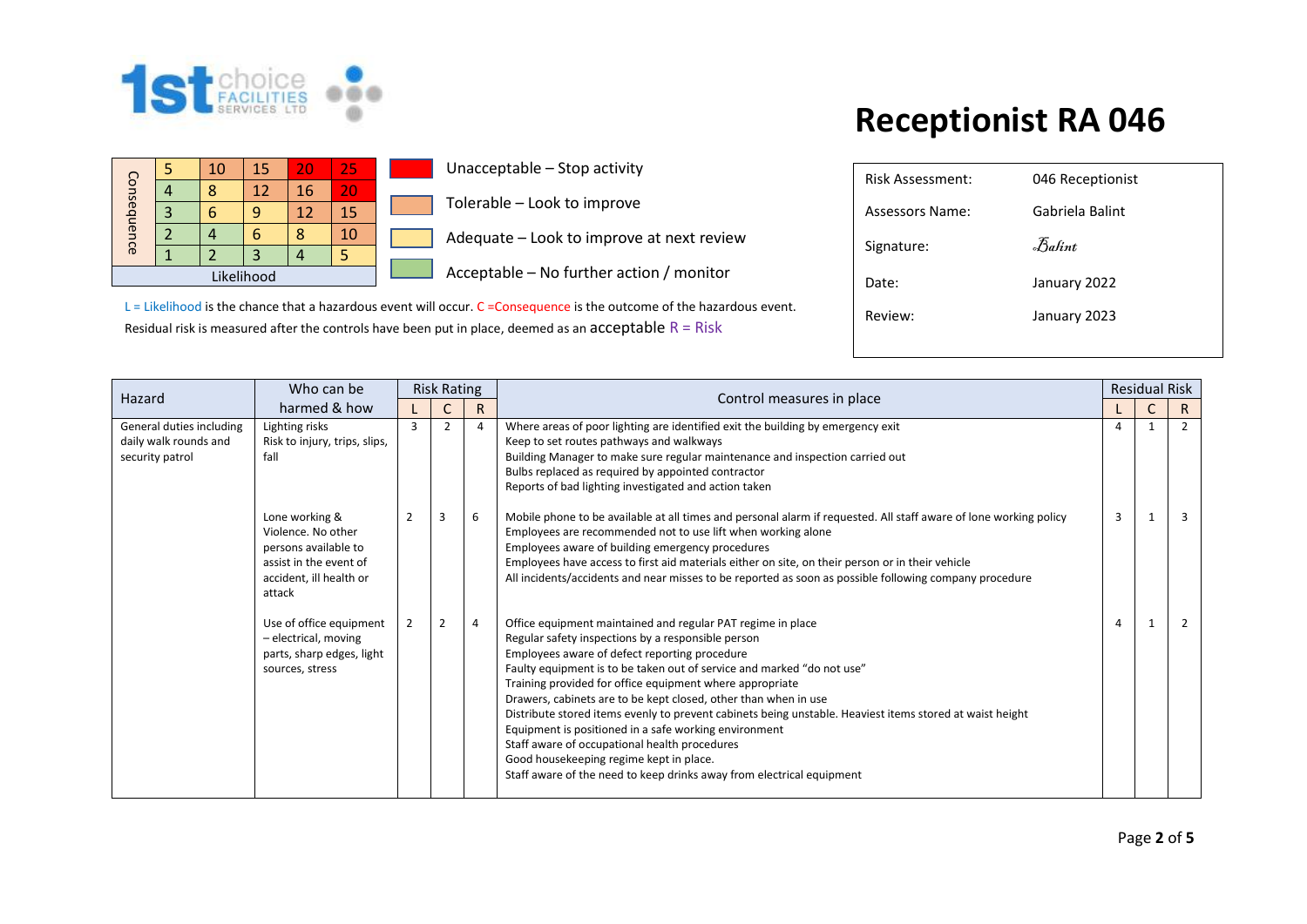

|             |   | 10         | 15 | 20 | 25 |  |
|-------------|---|------------|----|----|----|--|
|             |   |            | 12 | 16 | 20 |  |
|             | 3 |            |    | 12 | 15 |  |
| Consequence |   |            |    | ႙  | 10 |  |
|             |   |            |    |    |    |  |
|             |   | Likelihood |    |    |    |  |

**Unacceptable – Stop activity** 

Tolerable – Look to improve

Adequate – Look to improve at next review

 $\Box$  Acceptable – No further action / monitor

| <b>Risk Assessment:</b> | 046 Receptionist |
|-------------------------|------------------|
| Assessors Name:         | Gabriela Balint  |
| Signature:              | Balint           |
| Date:                   | January 2022     |
| Review:                 | January 2023     |
|                         |                  |

|                                                                      | Who can be                                                                                                                  |                                                                                                                                                                                                                                                                                                                                                        | <b>Risk Rating</b> |                | Control measures in place                                                                                                                                                                                                                                                                                                                                                                                                                                                                                                                                                                                                                                                                                             | <b>Residual Risk</b> |              |              |  |
|----------------------------------------------------------------------|-----------------------------------------------------------------------------------------------------------------------------|--------------------------------------------------------------------------------------------------------------------------------------------------------------------------------------------------------------------------------------------------------------------------------------------------------------------------------------------------------|--------------------|----------------|-----------------------------------------------------------------------------------------------------------------------------------------------------------------------------------------------------------------------------------------------------------------------------------------------------------------------------------------------------------------------------------------------------------------------------------------------------------------------------------------------------------------------------------------------------------------------------------------------------------------------------------------------------------------------------------------------------------------------|----------------------|--------------|--------------|--|
| Hazard                                                               | harmed & how                                                                                                                | $\mathsf{R}$                                                                                                                                                                                                                                                                                                                                           |                    |                |                                                                                                                                                                                                                                                                                                                                                                                                                                                                                                                                                                                                                                                                                                                       |                      | $\mathsf{C}$ | $\mathsf{R}$ |  |
| General duties including<br>daily walk rounds and<br>security patrol | Lighting risks<br>Risk to injury, trips, slips,<br>fall                                                                     | 3<br>Where areas of poor lighting are identified exit the building by emergency exit<br>$\overline{2}$<br>4<br>Keep to set routes pathways and walkways<br>Building Manager to make sure regular maintenance and inspection carried out<br>Bulbs replaced as required by appointed contractor<br>Reports of bad lighting investigated and action taken |                    |                | $\mathbf{1}$                                                                                                                                                                                                                                                                                                                                                                                                                                                                                                                                                                                                                                                                                                          | $\overline{2}$       |              |              |  |
|                                                                      | Lone working &<br>Violence. No other<br>persons available to<br>assist in the event of<br>accident, ill health or<br>attack | $\overline{2}$                                                                                                                                                                                                                                                                                                                                         | 3                  | 6              | Mobile phone to be available at all times and personal alarm if requested. All staff aware of lone working policy<br>Employees are recommended not to use lift when working alone<br>Employees aware of building emergency procedures<br>Employees have access to first aid materials either on site, on their person or in their vehicle<br>All incidents/accidents and near misses to be reported as soon as possible following company procedure                                                                                                                                                                                                                                                                   | 3                    |              | 3            |  |
|                                                                      | Use of office equipment<br>- electrical, moving<br>parts, sharp edges, light<br>sources, stress                             | 2                                                                                                                                                                                                                                                                                                                                                      | $\overline{2}$     | $\overline{4}$ | Office equipment maintained and regular PAT regime in place<br>Regular safety inspections by a responsible person<br>Employees aware of defect reporting procedure<br>Faulty equipment is to be taken out of service and marked "do not use"<br>Training provided for office equipment where appropriate<br>Drawers, cabinets are to be kept closed, other than when in use<br>Distribute stored items evenly to prevent cabinets being unstable. Heaviest items stored at waist height<br>Equipment is positioned in a safe working environment<br>Staff aware of occupational health procedures<br>Good housekeeping regime kept in place.<br>Staff aware of the need to keep drinks away from electrical equipment | 4                    | -1           |              |  |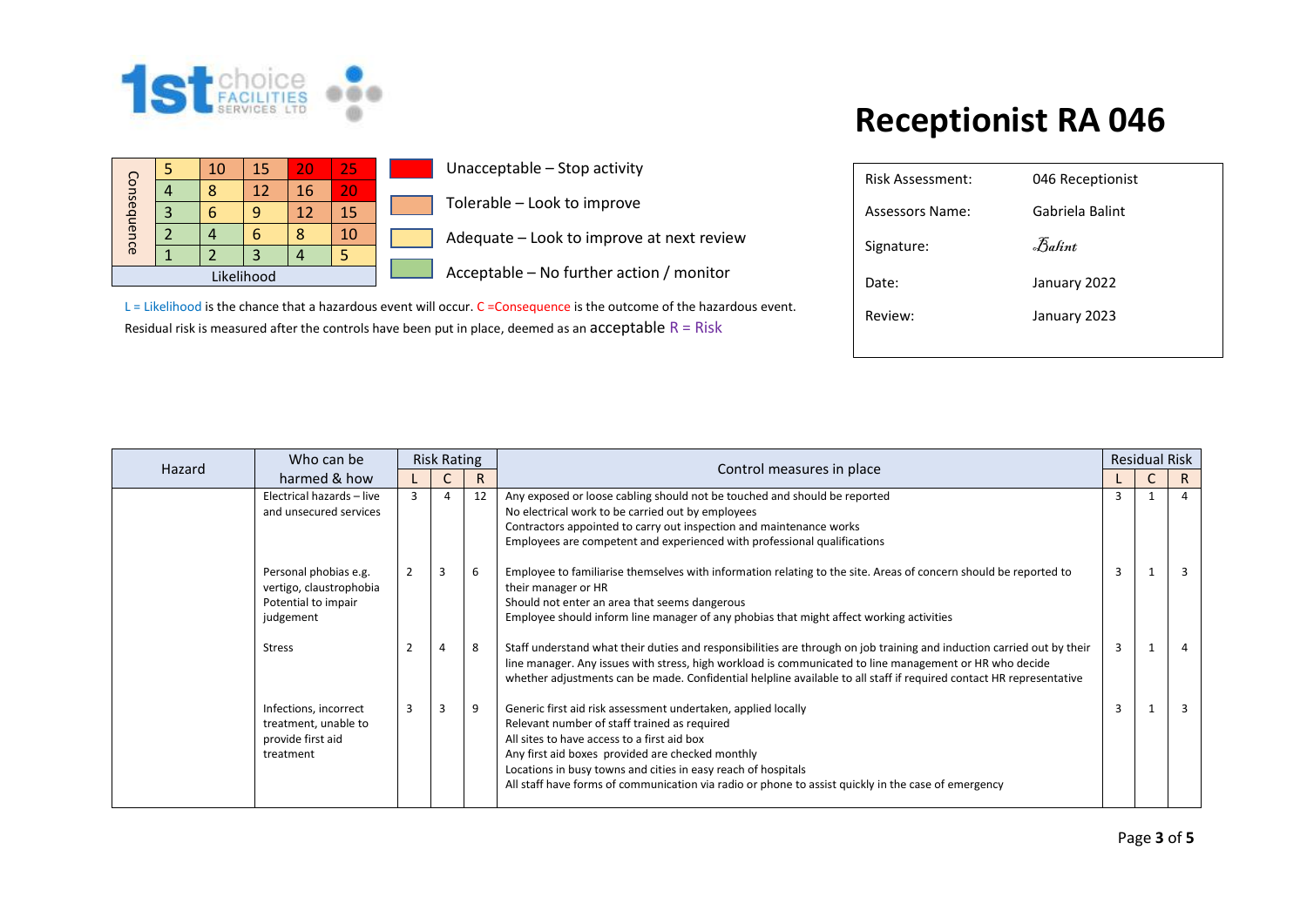

| Risk Assessment:       | 046 Receptionist |
|------------------------|------------------|
| <b>Assessors Name:</b> | Gabriela Balint  |
| Signature:             | Balint           |
| Date:                  | January 2022     |
| Review:                | January 2023     |
|                        |                  |

| Hazard | Who can be                                                                           |   | <b>Risk Rating</b> |    | Control measures in place                                                                                                                                                                                                                                                                                                                                                                |   | <b>Residual Risk</b> |                |
|--------|--------------------------------------------------------------------------------------|---|--------------------|----|------------------------------------------------------------------------------------------------------------------------------------------------------------------------------------------------------------------------------------------------------------------------------------------------------------------------------------------------------------------------------------------|---|----------------------|----------------|
|        | harmed & how                                                                         |   | R.                 |    |                                                                                                                                                                                                                                                                                                                                                                                          |   |                      | R              |
|        | Electrical hazards - live<br>and unsecured services                                  | 3 |                    | 12 | Any exposed or loose cabling should not be touched and should be reported<br>No electrical work to be carried out by employees<br>Contractors appointed to carry out inspection and maintenance works<br>Employees are competent and experienced with professional qualifications                                                                                                        |   |                      | $\overline{4}$ |
|        | Personal phobias e.g.<br>vertigo, claustrophobia<br>Potential to impair<br>judgement | 2 | $\overline{3}$     | 6  | Employee to familiarise themselves with information relating to the site. Areas of concern should be reported to<br>their manager or HR<br>Should not enter an area that seems dangerous<br>Employee should inform line manager of any phobias that might affect working activities                                                                                                      | 3 |                      | 3              |
|        | <b>Stress</b>                                                                        |   |                    | 8  | Staff understand what their duties and responsibilities are through on job training and induction carried out by their<br>line manager. Any issues with stress, high workload is communicated to line management or HR who decide<br>whether adjustments can be made. Confidential helpline available to all staff if required contact HR representative                                 | 3 |                      | 4              |
|        | Infections, incorrect<br>treatment, unable to<br>provide first aid<br>treatment      | 3 | 3                  | 9  | Generic first aid risk assessment undertaken, applied locally<br>Relevant number of staff trained as required<br>All sites to have access to a first aid box<br>Any first aid boxes provided are checked monthly<br>Locations in busy towns and cities in easy reach of hospitals<br>All staff have forms of communication via radio or phone to assist quickly in the case of emergency | 3 |                      |                |

|             |  | 10 | 15 | 20 | 25 |  |  |  |  |  |  |
|-------------|--|----|----|----|----|--|--|--|--|--|--|
|             |  | g  | 12 | 16 | T. |  |  |  |  |  |  |
| Consequence |  |    | q  | 12 | 15 |  |  |  |  |  |  |
|             |  |    | 6  |    | 10 |  |  |  |  |  |  |
|             |  |    |    |    |    |  |  |  |  |  |  |
| Likelihood  |  |    |    |    |    |  |  |  |  |  |  |

Unacceptable – Stop activity

Tolerable – Look to improve

Adequate – Look to improve at next review

Acceptable – No further action / monitor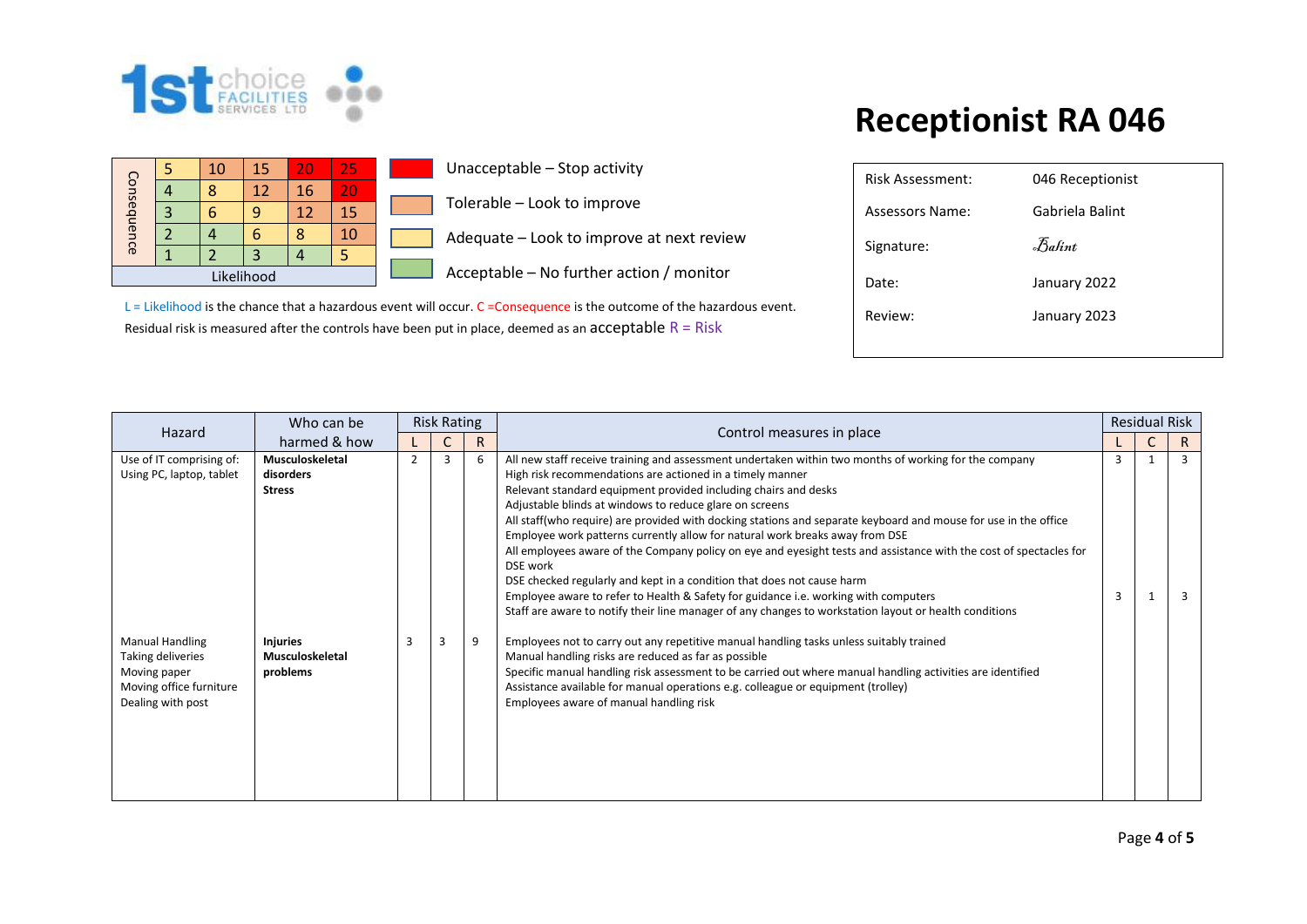

Consequence

Consequence

# **Receptionist RA 046**

| 5 | 10 | 15         | 20 | 25 | Unacceptable - Stop activity             |
|---|----|------------|----|----|------------------------------------------|
| 4 | 8  | 12         | 16 | 20 |                                          |
| 3 | 6  | 9          | 12 | 15 | Tolerable - Look to improve              |
|   | 4  | 6          | 8  | 10 | Adequate - Look to improve at next revie |
|   |    |            | 4  | 5  |                                          |
|   |    | Likelihood |    |    | Acceptable - No further action / monitor |
|   |    |            |    |    |                                          |

L = Likelihood is the chance that a hazardous event will occur. C = Consequence is the outcome of the hazardous event. Residual risk is measured after the controls have been put in place, deemed as an  $acceptable R = Risk$ 

| <b>Risk Assessment:</b> | 046 Receptionist |
|-------------------------|------------------|
| Assessors Name:         | Gabriela Balint  |
| Signature:              | Balint           |
| Date:                   | January 2022     |
| Review:                 | January 2023     |
|                         |                  |

|                          | Who can be      | <b>Risk Rating</b>                                                                                                                                                                                                                            |   |   |                                                                                                                                | <b>Residual Risk</b> |  |                |
|--------------------------|-----------------|-----------------------------------------------------------------------------------------------------------------------------------------------------------------------------------------------------------------------------------------------|---|---|--------------------------------------------------------------------------------------------------------------------------------|----------------------|--|----------------|
| Hazard                   | harmed & how    |                                                                                                                                                                                                                                               | R |   | Control measures in place                                                                                                      |                      |  | R.             |
| Use of IT comprising of: | Musculoskeletal | $\overline{2}$                                                                                                                                                                                                                                | 3 | 6 | All new staff receive training and assessment undertaken within two months of working for the company                          | 3                    |  | $\overline{3}$ |
| Using PC, laptop, tablet | disorders       |                                                                                                                                                                                                                                               |   |   | High risk recommendations are actioned in a timely manner                                                                      |                      |  |                |
|                          | <b>Stress</b>   | Relevant standard equipment provided including chairs and desks<br>Adjustable blinds at windows to reduce glare on screens<br>All staff(who require) are provided with docking stations and separate keyboard and mouse for use in the office |   |   |                                                                                                                                |                      |  |                |
|                          |                 |                                                                                                                                                                                                                                               |   |   |                                                                                                                                |                      |  |                |
|                          |                 |                                                                                                                                                                                                                                               |   |   |                                                                                                                                |                      |  |                |
|                          |                 |                                                                                                                                                                                                                                               |   |   | Employee work patterns currently allow for natural work breaks away from DSE                                                   |                      |  |                |
|                          |                 |                                                                                                                                                                                                                                               |   |   | All employees aware of the Company policy on eye and eyesight tests and assistance with the cost of spectacles for<br>DSE work |                      |  |                |
|                          |                 |                                                                                                                                                                                                                                               |   |   | DSE checked regularly and kept in a condition that does not cause harm                                                         |                      |  |                |
|                          |                 |                                                                                                                                                                                                                                               |   |   | Employee aware to refer to Health & Safety for guidance i.e. working with computers                                            | 3                    |  | 3              |
|                          |                 |                                                                                                                                                                                                                                               |   |   | Staff are aware to notify their line manager of any changes to workstation layout or health conditions                         |                      |  |                |
| <b>Manual Handling</b>   | <b>Injuries</b> |                                                                                                                                                                                                                                               |   | 9 | Employees not to carry out any repetitive manual handling tasks unless suitably trained                                        |                      |  |                |
| Taking deliveries        | Musculoskeletal |                                                                                                                                                                                                                                               |   |   | Manual handling risks are reduced as far as possible                                                                           |                      |  |                |
| Moving paper             | problems        |                                                                                                                                                                                                                                               |   |   | Specific manual handling risk assessment to be carried out where manual handling activities are identified                     |                      |  |                |
| Moving office furniture  |                 |                                                                                                                                                                                                                                               |   |   | Assistance available for manual operations e.g. colleague or equipment (trolley)                                               |                      |  |                |
| Dealing with post        |                 |                                                                                                                                                                                                                                               |   |   | Employees aware of manual handling risk                                                                                        |                      |  |                |
|                          |                 |                                                                                                                                                                                                                                               |   |   |                                                                                                                                |                      |  |                |
|                          |                 |                                                                                                                                                                                                                                               |   |   |                                                                                                                                |                      |  |                |
|                          |                 |                                                                                                                                                                                                                                               |   |   |                                                                                                                                |                      |  |                |
|                          |                 |                                                                                                                                                                                                                                               |   |   |                                                                                                                                |                      |  |                |
|                          |                 |                                                                                                                                                                                                                                               |   |   |                                                                                                                                |                      |  |                |

at next review